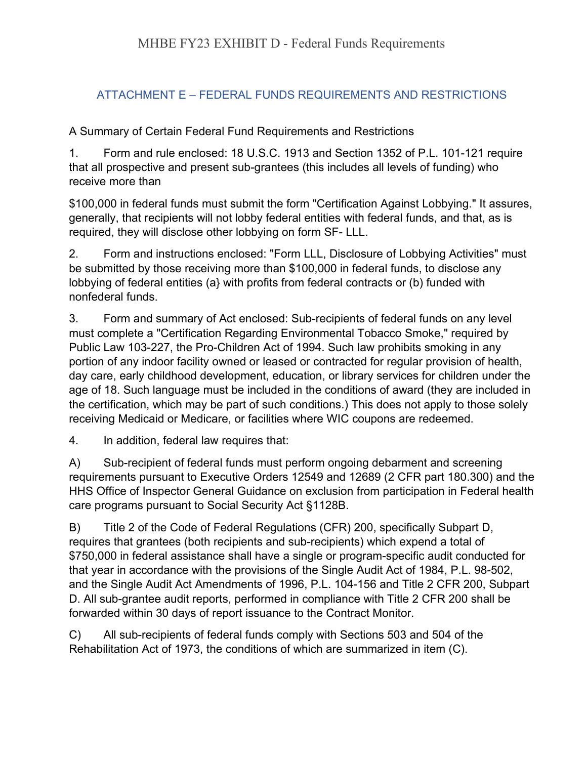## ATTACHMENT E – FEDERAL FUNDS REQUIREMENTS AND RESTRICTIONS

A Summary of Certain Federal Fund Requirements and Restrictions

1. Form and rule enclosed: 18 U.S.C. 1913 and Section 1352 of P.L. 101-121 require that all prospective and present sub-grantees (this includes all levels of funding) who receive more than

\$100,000 in federal funds must submit the form "Certification Against Lobbying." It assures, generally, that recipients will not lobby federal entities with federal funds, and that, as is required, they will disclose other lobbying on form SF- LLL.

2. Form and instructions enclosed: "Form LLL, Disclosure of Lobbying Activities" must be submitted by those receiving more than \$100,000 in federal funds, to disclose any lobbying of federal entities (a} with profits from federal contracts or (b) funded with nonfederal funds.

3. Form and summary of Act enclosed: Sub-recipients of federal funds on any level must complete a "Certification Regarding Environmental Tobacco Smoke," required by Public Law 103-227, the Pro-Children Act of 1994. Such law prohibits smoking in any portion of any indoor facility owned or leased or contracted for regular provision of health, day care, early childhood development, education, or library services for children under the age of 18. Such language must be included in the conditions of award (they are included in the certification, which may be part of such conditions.) This does not apply to those solely receiving Medicaid or Medicare, or facilities where WIC coupons are redeemed.

4. In addition, federal law requires that:

A) Sub-recipient of federal funds must perform ongoing debarment and screening requirements pursuant to Executive Orders 12549 and 12689 (2 CFR part 180.300) and the HHS Office of Inspector General Guidance on exclusion from participation in Federal health care programs pursuant to Social Security Act §1128B.

B) Title 2 of the Code of Federal Regulations (CFR) 200, specifically Subpart D, requires that grantees (both recipients and sub-recipients) which expend a total of \$750,000 in federal assistance shall have a single or program-specific audit conducted for that year in accordance with the provisions of the Single Audit Act of 1984, P.L. 98-502, and the Single Audit Act Amendments of 1996, P.L. 104-156 and Title 2 CFR 200, Subpart D. All sub-grantee audit reports, performed in compliance with Title 2 CFR 200 shall be forwarded within 30 days of report issuance to the Contract Monitor.

C) All sub-recipients of federal funds comply with Sections 503 and 504 of the Rehabilitation Act of 1973, the conditions of which are summarized in item (C).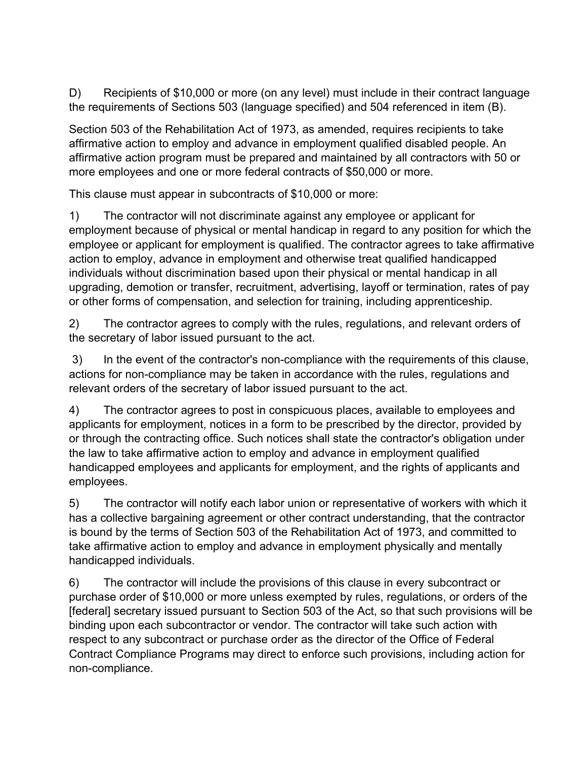D) Recipients of \$10,000 or more (on any level) must include in their contract language the requirements of Sections 503 (language specified) and 504 referenced in item (B).

Section 503 of the Rehabilitation Act of 1973, as amended, requires recipients to take affirmative action to employ and advance in employment qualified disabled people. An affirmative action program must be prepared and maintained by all contractors with 50 or more employees and one or more federal contracts of \$50,000 or more.

This clause must appear in subcontracts of \$10,000 or more:

1) The contractor will not discriminate against any employee or applicant for employment because of physical or mental handicap in regard to any position for which the employee or applicant for employment is qualified. The contractor agrees to take affirmative action to employ, advance in employment and otherwise treat qualified handicapped individuals without discrimination based upon their physical or mental handicap in all upgrading, demotion or transfer, recruitment, advertising, layoff or termination, rates of pay or other forms of compensation, and selection for training, including apprenticeship.

2) The contractor agrees to comply with the rules, regulations, and relevant orders of the secretary of labor issued pursuant to the act.

3) In the event of the contractor's non-compliance with the requirements of this clause, actions for non-compliance may be taken in accordance with the rules, regulations and relevant orders of the secretary of labor issued pursuant to the act.

4) The contractor agrees to post in conspicuous places, available to employees and applicants for employment, notices in a form to be prescribed by the director, provided by or through the contracting office. Such notices shall state the contractor's obligation under the law to take affirmative action to employ and advance in employment qualified handicapped employees and applicants for employment, and the rights of applicants and employees.

5) The contractor will notify each labor union or representative of workers with which it has a collective bargaining agreement or other contract understanding, that the contractor is bound by the terms of Section 503 of the Rehabilitation Act of 1973, and committed to take affirmative action to employ and advance in employment physically and mentally handicapped individuals.

6) The contractor will include the provisions of this clause in every subcontract or purchase order of \$10,000 or more unless exempted by rules, regulations, or orders of the [federal] secretary issued pursuant to Section 503 of the Act, so that such provisions will be binding upon each subcontractor or vendor. The contractor will take such action with respect to any subcontract or purchase order as the director of the Office of Federal Contract Compliance Programs may direct to enforce such provisions, including action for non-compliance.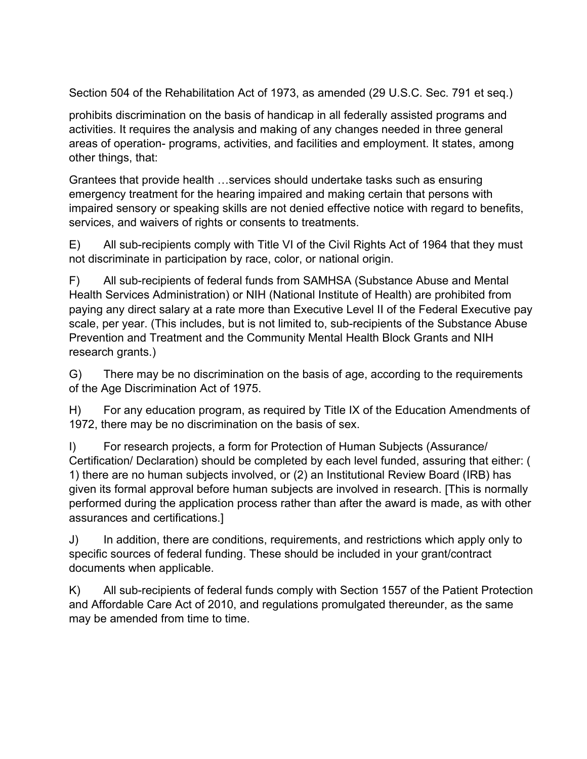Section 504 of the Rehabilitation Act of 1973, as amended (29 U.S.C. Sec. 791 et seq.)

prohibits discrimination on the basis of handicap in all federally assisted programs and activities. It requires the analysis and making of any changes needed in three general areas of operation- programs, activities, and facilities and employment. It states, among other things, that:

Grantees that provide health …services should undertake tasks such as ensuring emergency treatment for the hearing impaired and making certain that persons with impaired sensory or speaking skills are not denied effective notice with regard to benefits, services, and waivers of rights or consents to treatments.

E) All sub-recipients comply with Title VI of the Civil Rights Act of 1964 that they must not discriminate in participation by race, color, or national origin.

F) All sub-recipients of federal funds from SAMHSA (Substance Abuse and Mental Health Services Administration) or NIH (National Institute of Health) are prohibited from paying any direct salary at a rate more than Executive Level II of the Federal Executive pay scale, per year. (This includes, but is not limited to, sub-recipients of the Substance Abuse Prevention and Treatment and the Community Mental Health Block Grants and NIH research grants.)

G) There may be no discrimination on the basis of age, according to the requirements of the Age Discrimination Act of 1975.

H) For any education program, as required by Title IX of the Education Amendments of 1972, there may be no discrimination on the basis of sex.

I) For research projects, a form for Protection of Human Subjects (Assurance/ Certification/ Declaration) should be completed by each level funded, assuring that either: ( 1) there are no human subjects involved, or (2) an Institutional Review Board (IRB) has given its formal approval before human subjects are involved in research. [This is normally performed during the application process rather than after the award is made, as with other assurances and certifications.]

J) In addition, there are conditions, requirements, and restrictions which apply only to specific sources of federal funding. These should be included in your grant/contract documents when applicable.

K) All sub-recipients of federal funds comply with Section 1557 of the Patient Protection and Affordable Care Act of 2010, and regulations promulgated thereunder, as the same may be amended from time to time.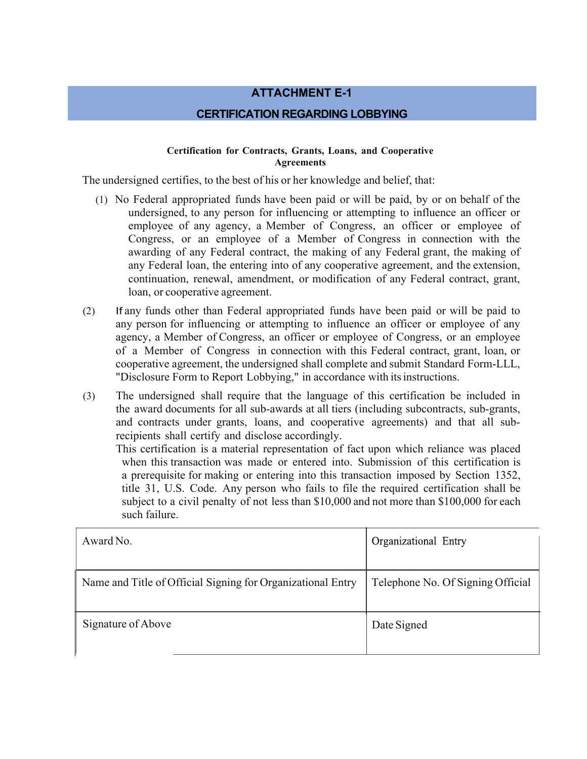### **ATTACHMENT E-1**

#### **CERTIFICATION REGARDING LOBBYING**

#### **Certification for Contracts, Grants, Loans, and Cooperative Agreements**

The undersigned certifies, to the best of his or her knowledge and belief, that:

- (1) No Federal appropriated funds have been paid or will be paid, by or on behalf of the undersigned, to any person for influencing or attempting to influence an officer or employee of any agency, a Member of Congress, an officer or employee of Congress, or an employee of a Member of Congress in connection with the awarding of any Federal contract, the making of any Federal grant, the making of any Federal loan, the entering into of any cooperative agreement, and the extension, continuation, renewal, amendment, or modification of any Federal contract, grant, loan, or cooperative agreement.
- (2) If any funds other than Federal appropriated funds have been paid or will be paid to any person for influencing or attempting to influence an officer or employee of any agency, a Member of Congress, an officer or employee of Congress, or an employee of a Member of Congress in connection with this Federal contract, grant, loan, or cooperative agreement, the undersigned shall complete and submit Standard Form-LLL, "Disclosure Form to Report Lobbying," in accordance with itsinstructions.
- (3) The undersigned shall require that the language of this certification be included in the award documents for all sub-awards at all tiers (including subcontracts, sub-grants, and contracts under grants, loans, and cooperative agreements) and that all subrecipients shall certify and disclose accordingly.

This certification is a material representation of fact upon which reliance was placed when this transaction was made or entered into. Submission of this certification is a prerequisite for making or entering into this transaction imposed by Section 1352, title 31, U.S. Code. Any person who fails to file the required certification shall be subject to a civil penalty of not less than \$10,000 and not more than \$100,000 for each such failure.

| Award No.                                                   | Organizational Entry              |
|-------------------------------------------------------------|-----------------------------------|
| Name and Title of Official Signing for Organizational Entry | Telephone No. Of Signing Official |
| Signature of Above                                          | Date Signed                       |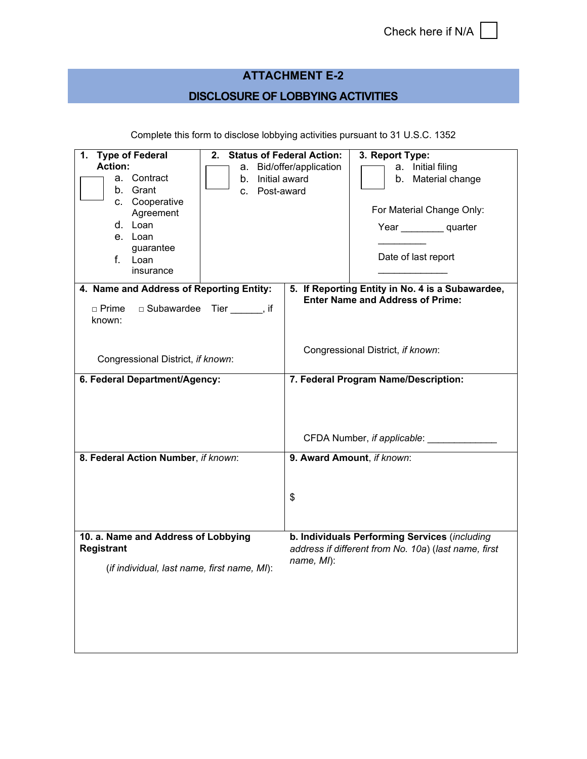# **ATTACHMENT E-2**

## **DISCLOSURE OF LOBBYING ACTIVITIES**

Complete this form to disclose lobbying activities pursuant to 31 U.S.C. 1352

| <b>Type of Federal</b><br>1.<br>Action:<br>a. Contract<br>b. Grant<br>c. Cooperative<br>Agreement<br>d. Loan<br>e. Loan<br>guarantee<br>f.<br>Loan<br>insurance | 2.<br>b. Initial award<br>c. Post-award | <b>Status of Federal Action:</b><br>a. Bid/offer/application | 3. Report Type:<br>a. Initial filing<br>b. Material change<br>For Material Change Only:<br>Year ___________ quarter<br>Date of last report |
|-----------------------------------------------------------------------------------------------------------------------------------------------------------------|-----------------------------------------|--------------------------------------------------------------|--------------------------------------------------------------------------------------------------------------------------------------------|
| 4. Name and Address of Reporting Entity:<br>$\Box$ Prime<br>known:                                                                                              | □ Subawardee Tier ______, if            |                                                              | 5. If Reporting Entity in No. 4 is a Subawardee,<br><b>Enter Name and Address of Prime:</b>                                                |
| Congressional District, if known:                                                                                                                               |                                         |                                                              | Congressional District, if known:                                                                                                          |
| 6. Federal Department/Agency:                                                                                                                                   |                                         |                                                              | 7. Federal Program Name/Description:<br>CFDA Number, if applicable:                                                                        |
| 8. Federal Action Number, if known:                                                                                                                             |                                         |                                                              | 9. Award Amount, if known:                                                                                                                 |
|                                                                                                                                                                 |                                         | \$                                                           |                                                                                                                                            |
| 10. a. Name and Address of Lobbying<br><b>Registrant</b><br>(if individual, last name, first name, MI):                                                         |                                         | name, MI):                                                   | b. Individuals Performing Services (including<br>address if different from No. 10a) (last name, first                                      |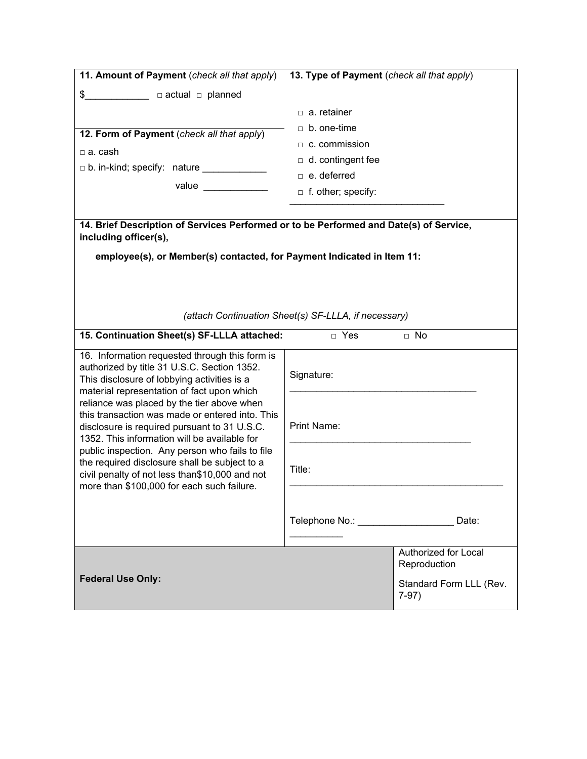| 11. Amount of Payment (check all that apply)                                                                                                                                                                                                                                                                                                                                                                                                                                                                                                                                                    | 13. Type of Payment (check all that apply)                                                                                                      |  |  |  |
|-------------------------------------------------------------------------------------------------------------------------------------------------------------------------------------------------------------------------------------------------------------------------------------------------------------------------------------------------------------------------------------------------------------------------------------------------------------------------------------------------------------------------------------------------------------------------------------------------|-------------------------------------------------------------------------------------------------------------------------------------------------|--|--|--|
| $\frac{1}{2}$<br>Desemble actual operantical planned                                                                                                                                                                                                                                                                                                                                                                                                                                                                                                                                            |                                                                                                                                                 |  |  |  |
| 12. Form of Payment (check all that apply)<br>⊟ a. cash<br>$\Box$ b. in-kind; specify: nature $\_\_\_\_\_\_\_\_\_\_\_\_\_\_\_\_\_\_\_$<br>value<br>14. Brief Description of Services Performed or to be Performed and Date(s) of Service,<br>including officer(s),<br>employee(s), or Member(s) contacted, for Payment Indicated in Item 11:                                                                                                                                                                                                                                                    | $\Box$ a. retainer<br>$\Box$ b. one-time<br>$\Box$ c. commission<br>$\Box$ d. contingent fee<br>$\Box$ e. deferred<br>$\Box$ f. other; specify: |  |  |  |
| (attach Continuation Sheet(s) SF-LLLA, if necessary)                                                                                                                                                                                                                                                                                                                                                                                                                                                                                                                                            |                                                                                                                                                 |  |  |  |
| 15. Continuation Sheet(s) SF-LLLA attached:                                                                                                                                                                                                                                                                                                                                                                                                                                                                                                                                                     | $\Box$ Yes<br>$\sqcap$ No                                                                                                                       |  |  |  |
| 16. Information requested through this form is<br>authorized by title 31 U.S.C. Section 1352.<br>This disclosure of lobbying activities is a<br>material representation of fact upon which<br>reliance was placed by the tier above when<br>this transaction was made or entered into. This<br>disclosure is required pursuant to 31 U.S.C.<br>1352. This information will be available for<br>public inspection. Any person who fails to file<br>the required disclosure shall be subject to a<br>civil penalty of not less than\$10,000 and not<br>more than \$100,000 for each such failure. | Signature:                                                                                                                                      |  |  |  |
|                                                                                                                                                                                                                                                                                                                                                                                                                                                                                                                                                                                                 | <b>Print Name:</b>                                                                                                                              |  |  |  |
|                                                                                                                                                                                                                                                                                                                                                                                                                                                                                                                                                                                                 | Title:                                                                                                                                          |  |  |  |
|                                                                                                                                                                                                                                                                                                                                                                                                                                                                                                                                                                                                 | Date:                                                                                                                                           |  |  |  |
| <b>Federal Use Only:</b>                                                                                                                                                                                                                                                                                                                                                                                                                                                                                                                                                                        | Authorized for Local<br>Reproduction<br>Standard Form LLL (Rev.<br>$7-97)$                                                                      |  |  |  |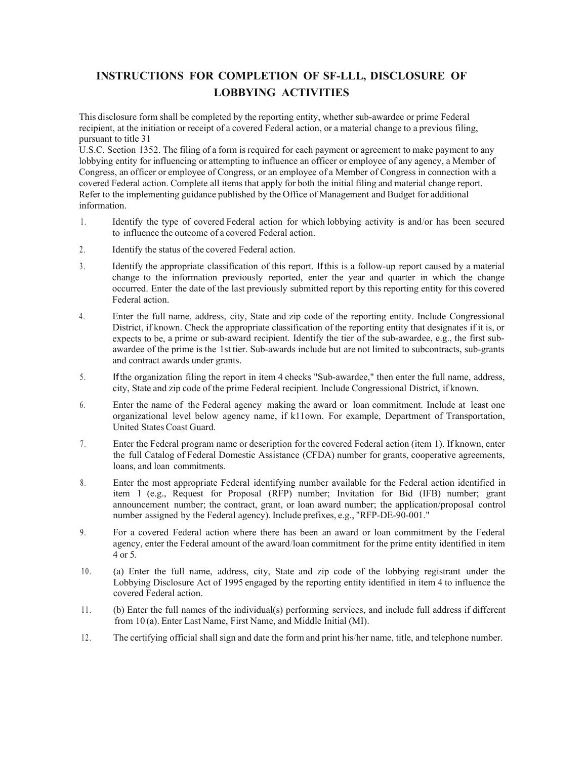## **INSTRUCTIONS FOR COMPLETION OF SF-LLL, DISCLOSURE OF LOBBYING ACTIVITIES**

This disclosure form shall be completed by the reporting entity, whether sub-awardee or prime Federal recipient, at the initiation or receipt of a covered Federal action, or a material change to a previous filing, pursuant to title 31

U.S.C. Section 1352. The filing of a form is required for each payment or agreement to make payment to any lobbying entity for influencing or attempting to influence an officer or employee of any agency, a Member of Congress, an officer or employee of Congress, or an employee of a Member of Congress in connection with a covered Federal action. Complete all items that apply for both the initial filing and material change report. Refer to the implementing guidance published by the Office of Management and Budget for additional information.

- 1. Identify the type of covered Federal action for which lobbying activity is and/or has been secured to influence the outcome of a covered Federal action.
- 2. Identify the status of the covered Federal action.
- 3 . Identify the appropriate classification of this report. Ifthis is a follow-up report caused by a material change to the information previously reported, enter the year and quarter in which the change occurred. Enter the date of the last previously submitted report by this reporting entity for this covered Federal action.
- 4 . Enter the full name, address, city, State and zip code of the reporting entity. Include Congressional District, if known. Check the appropriate classification of the reporting entity that designates if it is, or expects to be, a prime or sub-award recipient. Identify the tier of the sub-awardee, e.g., the first subawardee of the prime is the 1st tier. Sub-awards include but are not limited to subcontracts, sub-grants and contract awards under grants.
- 5 . Ifthe organization filing the report in item 4 checks "Sub-awardee," then enter the full name, address, city, State and zip code of the prime Federal recipient. Include Congressional District, if known.
- 6 . Enter the name of the Federal agency making the award or loan commitment. Include at least one organizational level below agency name, if k11own. For example, Department of Transportation, United States Coast Guard.
- 7 . Enter the Federal program name or description for the covered Federal action (item 1). If known, enter the full Catalog of Federal Domestic Assistance (CFDA) number for grants, cooperative agreements, loans, and loan commitments.
- 8 . Enter the most appropriate Federal identifying number available for the Federal action identified in item 1 (e.g., Request for Proposal (RFP) number; Invitation for Bid (IFB) number; grant announcement number; the contract, grant, or loan award number; the application/proposal control number assigned by the Federal agency). Include prefixes, e.g., "RFP-DE-90-001."
- 9 . For a covered Federal action where there has been an award or loan commitment by the Federal agency, enter the Federal amount of the award/loan commitment for the prime entity identified in item 4 or 5.
- 10. (a) Enter the full name, address, city, State and zip code of the lobbying registrant under the Lobbying Disclosure Act of 1995 engaged by the reporting entity identified in item 4 to influence the covered Federal action.
- 11. (b) Enter the full names of the individual(s) performing services, and include full address if different from 10 (a). Enter Last Name, First Name, and Middle Initial (MI).
- 12. The certifying official shall sign and date the form and print his/her name, title, and telephone number.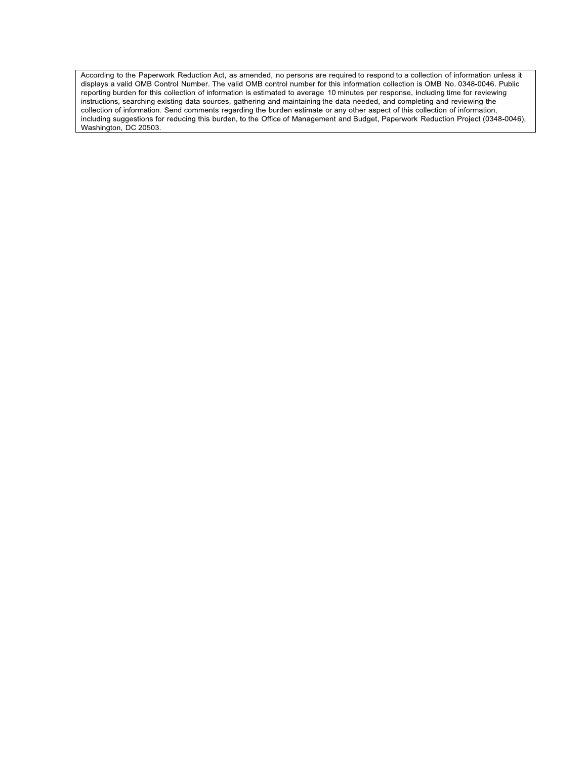According to the Paperwork Reduction Act, as amended, no persons are required to respond to a collection of information unless it displays a valid OMB Control Number. The valid OMB control number for this information collection is OMB No. 0348-0046. Public reporting burden for this collection of information is estimated to average 10 minutes per response, including time for reviewing instructions, searching existing data sources, gathering and maintaining the data needed, and completing and reviewing the collection of information. Send comments regarding the burden estimate or any other aspect of this collection of information, including suggestions for reducing this burden, to the Office of Management and Budget, Paperwork Reduction Project (0348-0046),<br>Washington, DC 20503.